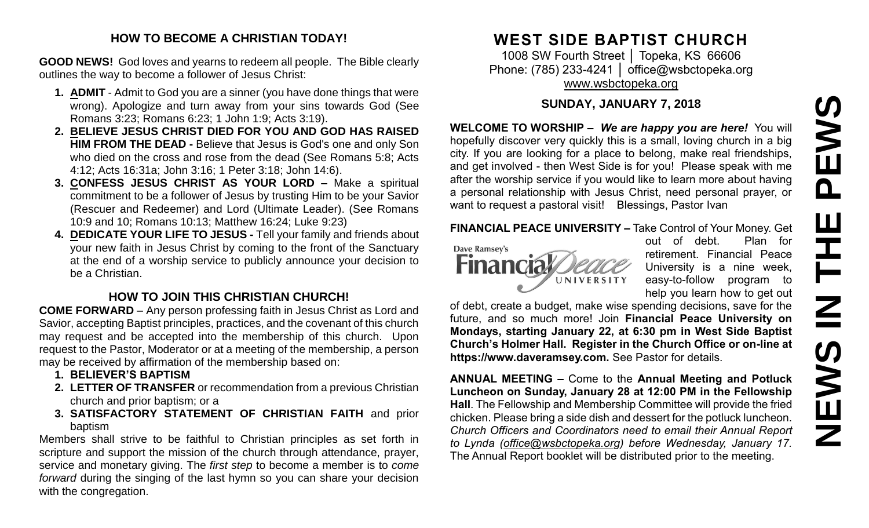# PEWS **NEWS IN THE PEWS**Ш **HH NH SVEMS**

#### **HOW TO BECOME A CHRISTIAN TODAY!**

**GOOD NEWS!** God loves and yearns to redeem all people. The Bible clearly outlines the way to become a follower of Jesus Christ:

- **1. ADMIT** Admit to God you are a sinner (you have done things that were wrong). Apologize and turn away from your sins towards God (See Romans 3:23; Romans 6:23; 1 John 1:9; Acts 3:19).
- **2. BELIEVE JESUS CHRIST DIED FOR YOU AND GOD HAS RAISED HIM FROM THE DEAD -** Believe that Jesus is God's one and only Son who died on the cross and rose from the dead (See Romans 5:8; Acts 4:12; Acts 16:31a; John 3:16; 1 Peter 3:18; John 14:6).
- **3. CONFESS JESUS CHRIST AS YOUR LORD –** Make a spiritual commitment to be a follower of Jesus by trusting Him to be your Savior (Rescuer and Redeemer) and Lord (Ultimate Leader). (See Romans 10:9 and 10; Romans 10:13; Matthew 16:24; Luke 9:23)
- **4. DEDICATE YOUR LIFE TO JESUS -** Tell your family and friends about your new faith in Jesus Christ by coming to the front of the Sanctuary at the end of a worship service to publicly announce your decision to be a Christian.

### **HOW TO JOIN THIS CHRISTIAN CHURCH!**

**COME FORWARD** – Any person professing faith in Jesus Christ as Lord and Savior, accepting Baptist principles, practices, and the covenant of this church may request and be accepted into the membership of this church. Upon request to the Pastor, Moderator or at a meeting of the membership, a person may be received by affirmation of the membership based on:

- **1. BELIEVER'S BAPTISM**
- **2. LETTER OF TRANSFER** or recommendation from a previous Christian church and prior baptism; or a
- **3. SATISFACTORY STATEMENT OF CHRISTIAN FAITH** and prior baptism

Members shall strive to be faithful to Christian principles as set forth in scripture and support the mission of the church through attendance, prayer, service and monetary giving. The *first step* to become a member is to *come forward* during the singing of the last hymn so you can share your decision with the congregation.

## **WEST SIDE BAPTIST CHURCH**

1008 SW Fourth Street │ Topeka, KS 66606 Phone: (785) 233-4241 | [office@wsbctopeka.org](mailto:office@wsbctopeka.org) [www.wsbctopeka.org](http://www.wsbctopeka.org/)

#### **SUNDAY, JANUARY 7, 2018**

**WELCOME TO WORSHIP –** *We are happy you are here!* You will hopefully discover very quickly this is a small, loving church in a big city. If you are looking for a place to belong, make real friendships, and get involved - then West Side is for you! Please speak with me after the worship service if you would like to learn more about having a personal relationship with Jesus Christ, need personal prayer, or want to request a pastoral visit! Blessings, Pastor Ivan

#### **FINANCIAL PEACE UNIVERSITY –** Take Control of Your Money. Get



out of debt. Plan for retirement. Financial Peace University is a nine week, easy-to-follow program to help you learn how to get out

of debt, create a budget, make wise spending decisions, save for the future, and so much more! Join **Financial Peace University on Mondays, starting January 22, at 6:30 pm in West Side Baptist Church's Holmer Hall. Register in the Church Office or on-line at https://www.daveramsey.com.** See Pastor for details.

**ANNUAL MEETING –** Come to the **Annual Meeting and Potluck Luncheon on Sunday, January 28 at 12:00 PM in the Fellowship Hall**. The Fellowship and Membership Committee will provide the fried chicken. Please bring a side dish and dessert for the potluck luncheon. *Church Officers and Coordinators need to email their Annual Report to Lynda [\(office@wsbctopeka.org](mailto:office@wsbctopeka.or)) before Wednesday, January 17.*  The Annual Report booklet will be distributed prior to the meeting.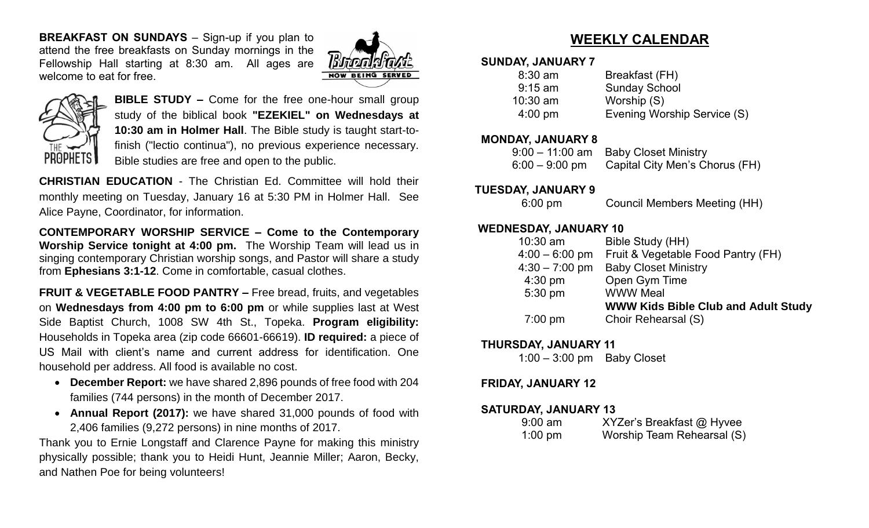**BREAKFAST ON SUNDAYS** – Sign-up if you plan to attend the free breakfasts on Sunday mornings in the Fellowship Hall starting at 8:30 am. All ages are welcome to eat for free.





**BIBLE STUDY –** Come for the free one-hour small group study of the biblical book **"EZEKIEL" on Wednesdays at 10:30 am in Holmer Hall**. The Bible study is taught start-tofinish ("lectio continua"), no previous experience necessary. Bible studies are free and open to the public.

**CHRISTIAN EDUCATION** - The Christian Ed. Committee will hold their monthly meeting on Tuesday, January 16 at 5:30 PM in Holmer Hall. See Alice Payne, Coordinator, for information.

**CONTEMPORARY WORSHIP SERVICE – Come to the Contemporary Worship Service tonight at 4:00 pm.** The Worship Team will lead us in singing contemporary Christian worship songs, and Pastor will share a study from **Ephesians 3:1-12**. Come in comfortable, casual clothes.

**FRUIT & VEGETABLE FOOD PANTRY –** Free bread, fruits, and vegetables on **Wednesdays from 4:00 pm to 6:00 pm** or while supplies last at West Side Baptist Church, 1008 SW 4th St., Topeka. **Program eligibility:**  Households in Topeka area (zip code 66601-66619). **ID required:** a piece of US Mail with client's name and current address for identification. One household per address. All food is available no cost.

- **December Report:** we have shared 2,896 pounds of free food with 204 families (744 persons) in the month of December 2017.
- **Annual Report (2017):** we have shared 31,000 pounds of food with 2,406 families (9,272 persons) in nine months of 2017.

Thank you to Ernie Longstaff and Clarence Payne for making this ministry physically possible; thank you to Heidi Hunt, Jeannie Miller; Aaron, Becky, and Nathen Poe for being volunteers!

## **WEEKLY CALENDAR**

#### **SUNDAY, JANUARY 7**

| $8:30$ am         | Breakfast (FH)              |
|-------------------|-----------------------------|
| $9:15$ am         | <b>Sunday School</b>        |
| $10:30$ am        | Worship (S)                 |
| $4:00 \text{ pm}$ | Evening Worship Service (S) |

#### **MONDAY, JANUARY 8**

|                  | 9:00 - 11:00 am Baby Closet Ministry |
|------------------|--------------------------------------|
| $6:00 - 9:00$ pm | Capital City Men's Chorus (FH)       |

#### **TUESDAY, JANUARY 9**

6:00 pm Council Members Meeting (HH)

#### **WEDNESDAY, JANUARY 10**

| $10:30$ am        | Bible Study (HH)                           |
|-------------------|--------------------------------------------|
| $4:00 - 6:00$ pm  | Fruit & Vegetable Food Pantry (FH)         |
| $4:30 - 7:00$ pm  | <b>Baby Closet Ministry</b>                |
| $4:30$ pm         | Open Gym Time                              |
| 5:30 pm           | <b>WWW Meal</b>                            |
|                   | <b>WWW Kids Bible Club and Adult Study</b> |
| $7:00 \text{ pm}$ | Choir Rehearsal (S)                        |
|                   |                                            |

#### **THURSDAY, JANUARY 11**

1:00 – 3:00 pm Baby Closet

#### **FRIDAY, JANUARY 12**

#### **SATURDAY, JANUARY 13**

| $9:00 \text{ am}$ |  | XYZer's Breakfast @ Hyvee  |  |
|-------------------|--|----------------------------|--|
| $1:00$ pm         |  | Worship Team Rehearsal (S) |  |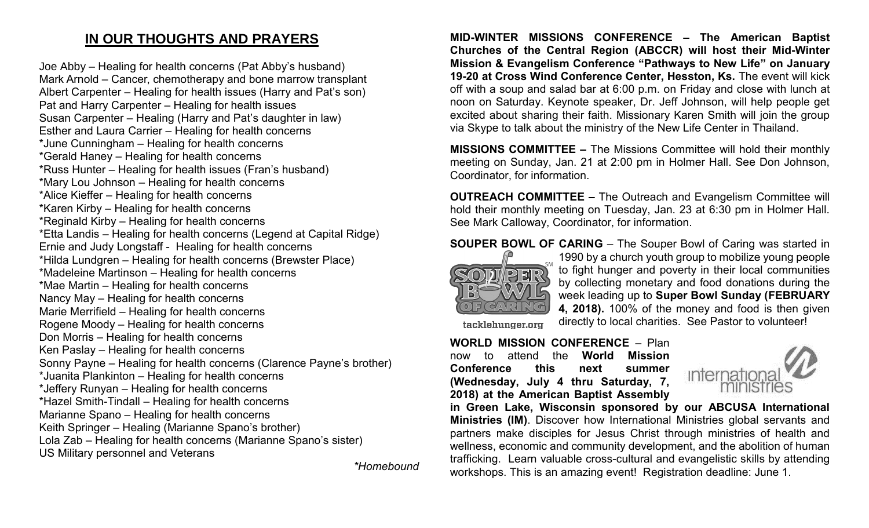## **IN OUR THOUGHTS AND PRAYERS**

Joe Abby – Healing for health concerns (Pat Abby's husband) Mark Arnold – Cancer, chemotherapy and bone marrow transplant Albert Carpenter – Healing for health issues (Harry and Pat's son) Pat and Harry Carpenter – Healing for health issues Susan Carpenter – Healing (Harry and Pat's daughter in law) Esther and Laura Carrier – Healing for health concerns \*June Cunningham – Healing for health concerns \*Gerald Haney – Healing for health concerns \*Russ Hunter – Healing for health issues (Fran's husband) \*Mary Lou Johnson – Healing for health concerns \*Alice Kieffer – Healing for health concerns \*Karen Kirby – Healing for health concerns \*Reginald Kirby – Healing for health concerns \*Etta Landis – Healing for health concerns (Legend at Capital Ridge) Ernie and Judy Longstaff - Healing for health concerns \*Hilda Lundgren – Healing for health concerns (Brewster Place) \*Madeleine Martinson – Healing for health concerns \*Mae Martin – Healing for health concerns Nancy May – Healing for health concerns Marie Merrifield – Healing for health concerns Rogene Moody – Healing for health concerns Don Morris – Healing for health concerns Ken Paslay – Healing for health concerns Sonny Payne – Healing for health concerns (Clarence Payne's brother) \*Juanita Plankinton – Healing for health concerns \*Jeffery Runyan – Healing for health concerns \*Hazel Smith-Tindall – Healing for health concerns Marianne Spano – Healing for health concerns Keith Springer – Healing (Marianne Spano's brother) Lola Zab – Healing for health concerns (Marianne Spano's sister) US Military personnel and Veterans

*\*Homebound*

**MID-WINTER MISSIONS CONFERENCE – The American Baptist Churches of the Central Region (ABCCR) will host their Mid-Winter Mission & Evangelism Conference "Pathways to New Life" on January 19-20 at Cross Wind Conference Center, Hesston, Ks.** The event will kick off with a soup and salad bar at 6:00 p.m. on Friday and close with lunch at noon on Saturday. Keynote speaker, Dr. Jeff Johnson, will help people get excited about sharing their faith. Missionary Karen Smith will join the group via Skype to talk about the ministry of the New Life Center in Thailand.

**MISSIONS COMMITTEE –** The Missions Committee will hold their monthly meeting on Sunday, Jan. 21 at 2:00 pm in Holmer Hall. See Don Johnson, Coordinator, for information.

**OUTREACH COMMITTEE –** The Outreach and Evangelism Committee will hold their monthly meeting on Tuesday, Jan. 23 at 6:30 pm in Holmer Hall. See Mark Calloway, Coordinator, for information.

**SOUPER BOWL OF CARING** – The Souper Bowl of Caring was started in



1990 by a church youth group to mobilize young people to fight hunger and poverty in their local communities by collecting monetary and food donations during the week leading up to **Super Bowl Sunday (FEBRUARY 4, 2018).** 100% of the money and food is then given directly to local charities. See Pastor to volunteer!

tacklehunger.org

#### **WORLD MISSION CONFERENCE** – Plan now to attend the **World Mission**

**Conference this next summer (Wednesday, July 4 thru Saturday, 7, 2018) at the American Baptist Assembly** 



**in Green Lake, Wisconsin sponsored by our ABCUSA International Ministries (IM)**. Discover how International Ministries global servants and partners make disciples for Jesus Christ through ministries of health and wellness, economic and community development, and the abolition of human trafficking. Learn valuable cross-cultural and evangelistic skills by attending workshops. This is an amazing event! Registration deadline: June 1.